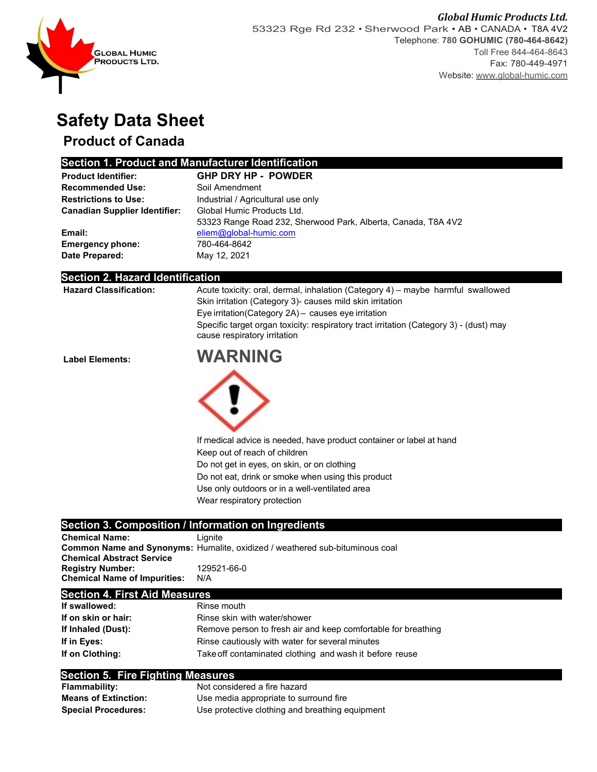

# **Safety Data Sheet**

## **Product of Canada**

## **Section 1. Product and Manufacturer Identification**

| <b>Product Identifier:</b>           | <b>GHP DRY HP - POWDER</b>                                    |  |  |  |
|--------------------------------------|---------------------------------------------------------------|--|--|--|
| <b>Recommended Use:</b>              | Soil Amendment                                                |  |  |  |
| <b>Restrictions to Use:</b>          | Industrial / Agricultural use only                            |  |  |  |
| <b>Canadian Supplier Identifier:</b> | Global Humic Products Ltd.                                    |  |  |  |
|                                      | 53323 Range Road 232, Sherwood Park, Alberta, Canada, T8A 4V2 |  |  |  |
| Email:                               | eliem@global-humic.com                                        |  |  |  |
| <b>Emergency phone:</b>              | 780-464-8642                                                  |  |  |  |
| Date Prepared:                       | May 12, 2021                                                  |  |  |  |

### **Section 2. Hazard Identification**

| <b>Hazard Classification:</b> | Acute toxicity: oral, dermal, inhalation (Category 4) - maybe harmful swallowed<br>Skin irritation (Category 3)- causes mild skin irritation<br>Eye irritation(Category 2A) - causes eye irritation<br>Specific target organ toxicity: respiratory tract irritation (Category 3) - (dust) may<br>cause respiratory irritation |
|-------------------------------|-------------------------------------------------------------------------------------------------------------------------------------------------------------------------------------------------------------------------------------------------------------------------------------------------------------------------------|
| <b>Label Elements:</b>        | <b>WARNING</b>                                                                                                                                                                                                                                                                                                                |
|                               |                                                                                                                                                                                                                                                                                                                               |
|                               | If medical advice is needed, have product container or label at hand                                                                                                                                                                                                                                                          |
|                               | Keep out of reach of children                                                                                                                                                                                                                                                                                                 |
|                               | Do not get in eyes, on skin, or on clothing                                                                                                                                                                                                                                                                                   |
|                               | Do not eat, drink or smoke when using this product                                                                                                                                                                                                                                                                            |
|                               | Use only outdoors or in a well-ventilated area                                                                                                                                                                                                                                                                                |
|                               | Wear respiratory protection                                                                                                                                                                                                                                                                                                   |
|                               |                                                                                                                                                                                                                                                                                                                               |
|                               | Section 3. Composition / Information on Ingredients                                                                                                                                                                                                                                                                           |

| <b>Chemical Name:</b>               | Lianite                                                                             |
|-------------------------------------|-------------------------------------------------------------------------------------|
|                                     | <b>Common Name and Synonyms: Humalite, oxidized / weathered sub-bituminous coal</b> |
| <b>Chemical Abstract Service</b>    |                                                                                     |
| <b>Registry Number:</b>             | 129521-66-0                                                                         |
| <b>Chemical Name of Impurities:</b> | N/A                                                                                 |
|                                     |                                                                                     |

**Section 4. First Aid Measures**

| If swallowed:       | Rinse mouth                                                   |  |  |
|---------------------|---------------------------------------------------------------|--|--|
| If on skin or hair: | Rinse skin with water/shower                                  |  |  |
| If Inhaled (Dust):  | Remove person to fresh air and keep comfortable for breathing |  |  |
| If in Eyes:         | Rinse cautiously with water for several minutes               |  |  |
| If on Clothing:     | Take off contaminated clothing and wash it before reuse       |  |  |

### **Section 5. Fire Fighting Measures**

| <b>Flammability:</b>        | Not considered a fire hazard                    |
|-----------------------------|-------------------------------------------------|
| <b>Means of Extinction:</b> | Use media appropriate to surround fire          |
| <b>Special Procedures:</b>  | Use protective clothing and breathing equipment |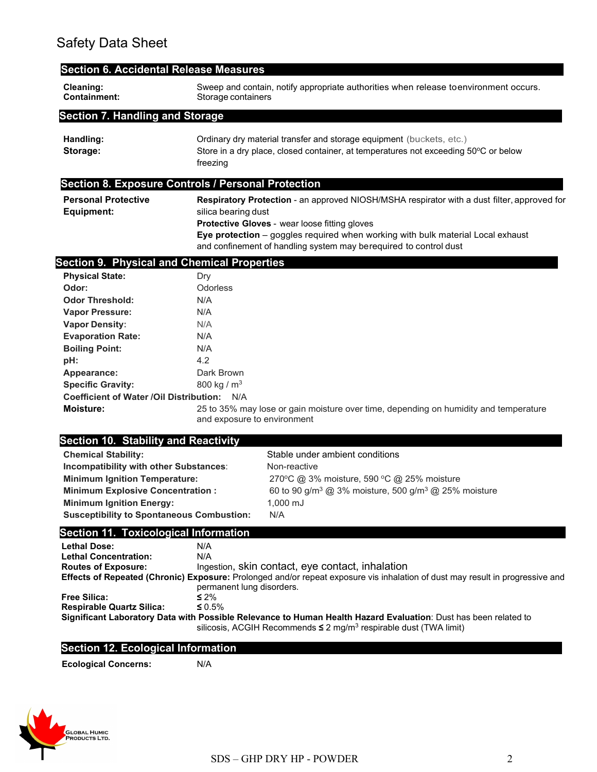| <b>Section 6. Accidental Release Measures</b>                                                                                                                                                                                                                                                                                                                                                                                                          |                                                                                           |                                                                                                                                                                                                                                                                                                                             |  |  |  |
|--------------------------------------------------------------------------------------------------------------------------------------------------------------------------------------------------------------------------------------------------------------------------------------------------------------------------------------------------------------------------------------------------------------------------------------------------------|-------------------------------------------------------------------------------------------|-----------------------------------------------------------------------------------------------------------------------------------------------------------------------------------------------------------------------------------------------------------------------------------------------------------------------------|--|--|--|
| Cleaning:<br><b>Containment:</b>                                                                                                                                                                                                                                                                                                                                                                                                                       |                                                                                           | Sweep and contain, notify appropriate authorities when release toenvironment occurs.<br>Storage containers                                                                                                                                                                                                                  |  |  |  |
| <b>Section 7. Handling and Storage</b>                                                                                                                                                                                                                                                                                                                                                                                                                 |                                                                                           |                                                                                                                                                                                                                                                                                                                             |  |  |  |
| Handling:<br>Storage:                                                                                                                                                                                                                                                                                                                                                                                                                                  | freezing                                                                                  | Ordinary dry material transfer and storage equipment (buckets, etc.)<br>Store in a dry place, closed container, at temperatures not exceeding 50°C or below                                                                                                                                                                 |  |  |  |
| <b>Section 8. Exposure Controls / Personal Protection</b>                                                                                                                                                                                                                                                                                                                                                                                              |                                                                                           |                                                                                                                                                                                                                                                                                                                             |  |  |  |
| <b>Personal Protective</b><br><b>Equipment:</b>                                                                                                                                                                                                                                                                                                                                                                                                        |                                                                                           | Respiratory Protection - an approved NIOSH/MSHA respirator with a dust filter, approved for<br>silica bearing dust<br>Protective Gloves - wear loose fitting gloves<br>Eye protection - goggles required when working with bulk material Local exhaust<br>and confinement of handling system may berequired to control dust |  |  |  |
| <b>Section 9. Physical and Chemical Properties</b>                                                                                                                                                                                                                                                                                                                                                                                                     |                                                                                           |                                                                                                                                                                                                                                                                                                                             |  |  |  |
| <b>Physical State:</b><br>Odor:<br><b>Odor Threshold:</b><br><b>Vapor Pressure:</b><br><b>Vapor Density:</b><br><b>Evaporation Rate:</b><br><b>Boiling Point:</b><br>pH:<br>Appearance:<br><b>Specific Gravity:</b><br>Coefficient of Water / Oil Distribution: N/A<br><b>Moisture:</b><br><b>Section 10. Stability and Reactivity</b><br><b>Chemical Stability:</b><br>Incompatibility with other Substances:<br><b>Minimum Ignition Temperature:</b> | Dry<br>Odorless<br>N/A<br>N/A<br>N/A<br>N/A<br>N/A<br>4.2<br>Dark Brown<br>800 kg / $m^3$ | 25 to 35% may lose or gain moisture over time, depending on humidity and temperature<br>and exposure to environment<br>Stable under ambient conditions<br>Non-reactive<br>270°C @ 3% moisture, 590 °C @ 25% moisture                                                                                                        |  |  |  |
| <b>Minimum Explosive Concentration:</b><br><b>Minimum Ignition Energy:</b><br><b>Susceptibility to Spontaneous Combustion:</b>                                                                                                                                                                                                                                                                                                                         |                                                                                           | 60 to 90 g/m <sup>3</sup> @ 3% moisture, 500 g/m <sup>3</sup> @ 25% moisture<br>1,000 mJ<br>N/A                                                                                                                                                                                                                             |  |  |  |
| <b>Section 11. Toxicological Information</b>                                                                                                                                                                                                                                                                                                                                                                                                           |                                                                                           |                                                                                                                                                                                                                                                                                                                             |  |  |  |
| <b>Lethal Dose:</b><br><b>Lethal Concentration:</b><br><b>Routes of Exposure:</b>                                                                                                                                                                                                                                                                                                                                                                      | N/A<br>N/A                                                                                | Ingestion, skin contact, eye contact, inhalation<br>Effects of Repeated (Chronic) Exposure: Prolonged and/or repeat exposure vis inhalation of dust may result in progressive and<br>permanent lung disorders.                                                                                                              |  |  |  |
| <b>Free Silica:</b>                                                                                                                                                                                                                                                                                                                                                                                                                                    | $\leq 2\%$<br>≤ 0.5%                                                                      | Significant Laboratory Data with Possible Relevance to Human Health Hazard Evaluation: Dust has been related to                                                                                                                                                                                                             |  |  |  |
| <b>Respirable Quartz Silica:</b>                                                                                                                                                                                                                                                                                                                                                                                                                       |                                                                                           | silicosis, ACGIH Recommends ≤ 2 mg/m <sup>3</sup> respirable dust (TWA limit)                                                                                                                                                                                                                                               |  |  |  |
| <b>Section 12. Ecological Information</b>                                                                                                                                                                                                                                                                                                                                                                                                              |                                                                                           |                                                                                                                                                                                                                                                                                                                             |  |  |  |